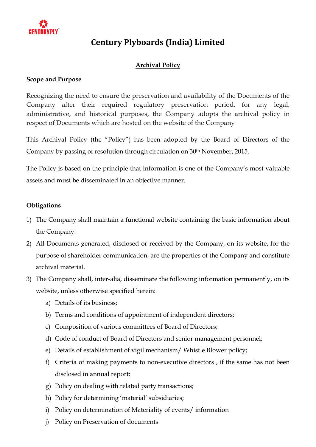

### **Archival Policy**

#### **Scope and Purpose**

Recognizing the need to ensure the preservation and availability of the Documents of the Company after their required regulatory preservation period, for any legal, administrative, and historical purposes, the Company adopts the archival policy in respect of Documents which are hosted on the website of the Company

This Archival Policy (the "Policy") has been adopted by the Board of Directors of the Company by passing of resolution through circulation on 30<sup>th</sup> November, 2015.

The Policy is based on the principle that information is one of the Company's most valuable assets and must be disseminated in an objective manner.

#### **Obligations**

- 1) The Company shall maintain a functional website containing the basic information about the Company.
- 2) All Documents generated, disclosed or received by the Company, on its website, for the purpose of shareholder communication, are the properties of the Company and constitute archival material.
- 3) The Company shall, inter-alia, disseminate the following information permanently, on its website, unless otherwise specified herein:
	- a) Details of its business;
	- b) Terms and conditions of appointment of independent directors;
	- c) Composition of various committees of Board of Directors;
	- d) Code of conduct of Board of Directors and senior management personnel;
	- e) Details of establishment of vigil mechanism/ Whistle Blower policy;
	- f) Criteria of making payments to non-executive directors , if the same has not been disclosed in annual report;
	- g) Policy on dealing with related party transactions;
	- h) Policy for determining 'material' subsidiaries;
	- i) Policy on determination of Materiality of events/ information
	- j) Policy on Preservation of documents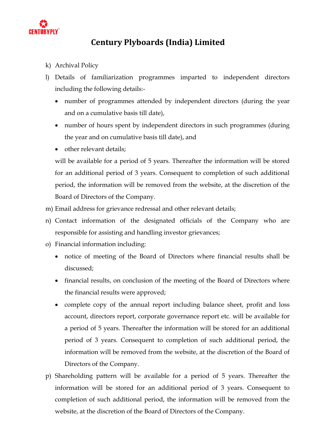

- k) Archival Policy
- l) Details of familiarization programmes imparted to independent directors including the following details:-
	- number of programmes attended by independent directors (during the year and on a cumulative basis till date),
	- number of hours spent by independent directors in such programmes (during the year and on cumulative basis till date), and
	- other relevant details:

will be available for a period of 5 years. Thereafter the information will be stored for an additional period of 3 years. Consequent to completion of such additional period, the information will be removed from the website, at the discretion of the Board of Directors of the Company.

- m) Email address for grievance redressal and other relevant details;
- n) Contact information of the designated officials of the Company who are responsible for assisting and handling investor grievances;
- o) Financial information including:
	- notice of meeting of the Board of Directors where financial results shall be discussed;
	- financial results, on conclusion of the meeting of the Board of Directors where the financial results were approved;
	- complete copy of the annual report including balance sheet, profit and loss account, directors report, corporate governance report etc. will be available for a period of 5 years. Thereafter the information will be stored for an additional period of 3 years. Consequent to completion of such additional period, the information will be removed from the website, at the discretion of the Board of Directors of the Company.
- p) Shareholding pattern will be available for a period of 5 years. Thereafter the information will be stored for an additional period of 3 years. Consequent to completion of such additional period, the information will be removed from the website, at the discretion of the Board of Directors of the Company.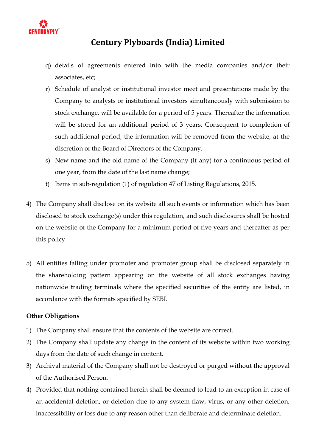

- q) details of agreements entered into with the media companies and/or their associates, etc;
- r) Schedule of analyst or institutional investor meet and presentations made by the Company to analysts or institutional investors simultaneously with submission to stock exchange, will be available for a period of 5 years. Thereafter the information will be stored for an additional period of 3 years. Consequent to completion of such additional period, the information will be removed from the website, at the discretion of the Board of Directors of the Company.
- s) New name and the old name of the Company (If any) for a continuous period of one year, from the date of the last name change;
- t) Items in sub-regulation (1) of regulation 47 of Listing Regulations, 2015.
- 4) The Company shall disclose on its website all such events or information which has been disclosed to stock exchange(s) under this regulation, and such disclosures shall be hosted on the website of the Company for a minimum period of five years and thereafter as per this policy.
- 5) All entities falling under promoter and promoter group shall be disclosed separately in the shareholding pattern appearing on the website of all stock exchanges having nationwide trading terminals where the specified securities of the entity are listed, in accordance with the formats specified by SEBI.

#### **Other Obligations**

- 1) The Company shall ensure that the contents of the website are correct.
- 2) The Company shall update any change in the content of its website within two working days from the date of such change in content.
- 3) Archival material of the Company shall not be destroyed or purged without the approval of the Authorised Person.
- 4) Provided that nothing contained herein shall be deemed to lead to an exception in case of an accidental deletion, or deletion due to any system flaw, virus, or any other deletion, inaccessibility or loss due to any reason other than deliberate and determinate deletion.